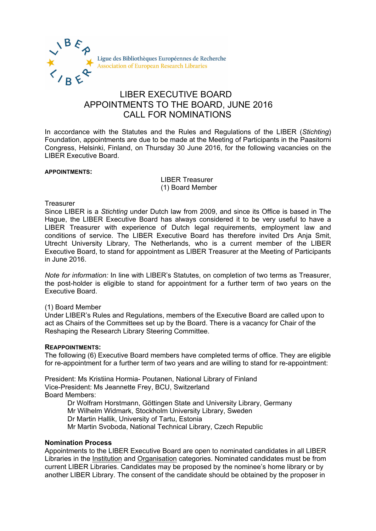

# LIBER EXECUTIVE BOARD APPOINTMENTS TO THE BOARD, JUNE 2016 CALL FOR NOMINATIONS

In accordance with the Statutes and the Rules and Regulations of the LIBER (*Stichting*) Foundation, appointments are due to be made at the Meeting of Participants in the Paasitorni Congress, Helsinki, Finland, on Thursday 30 June 2016, for the following vacancies on the LIBER Executive Board.

#### **APPOINTMENTS:**

LIBER Treasurer (1) Board Member

#### **Treasurer**

Since LIBER is a *Stichting* under Dutch law from 2009, and since its Office is based in The Hague, the LIBER Executive Board has always considered it to be very useful to have a LIBER Treasurer with experience of Dutch legal requirements, employment law and conditions of service. The LIBER Executive Board has therefore invited Drs Anja Smit, Utrecht University Library, The Netherlands, who is a current member of the LIBER Executive Board, to stand for appointment as LIBER Treasurer at the Meeting of Participants in June 2016.

*Note for information:* In line with LIBER's Statutes, on completion of two terms as Treasurer, the post-holder is eligible to stand for appointment for a further term of two years on the Executive Board.

## (1) Board Member

Under LIBER's Rules and Regulations, members of the Executive Board are called upon to act as Chairs of the Committees set up by the Board. There is a vacancy for Chair of the Reshaping the Research Library Steering Committee.

## **REAPPOINTMENTS:**

The following (6) Executive Board members have completed terms of office. They are eligible for re-appointment for a further term of two years and are willing to stand for re-appointment:

President: Ms Kristiina Hormia- Poutanen, National Library of Finland Vice-President: Ms Jeannette Frey, BCU, Switzerland Board Members:

Dr Wolfram Horstmann, Göttingen State and University Library, Germany Mr Wilhelm Widmark, Stockholm University Library, Sweden Dr Martin Hallik, University of Tartu, Estonia Mr Martin Svoboda, National Technical Library, Czech Republic

## **Nomination Process**

Appointments to the LIBER Executive Board are open to nominated candidates in all LIBER Libraries in the Institution and Organisation categories. Nominated candidates must be from current LIBER Libraries. Candidates may be proposed by the nominee's home library or by another LIBER Library. The consent of the candidate should be obtained by the proposer in